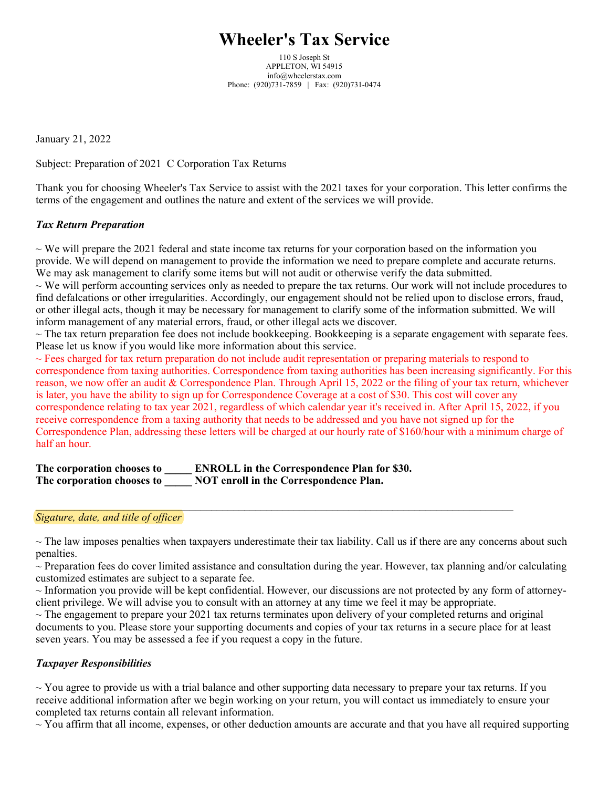# **Wheeler's Tax Service**

110 S Joseph St APPLETON, WI 54915 info@wheelerstax.com Phone: (920)731-7859 | Fax: (920)731-0474

January 21, 2022

Subject: Preparation of 2021 C Corporation Tax Returns

Thank you for choosing Wheeler's Tax Service to assist with the 2021 taxes for your corporation. This letter confirms the terms of the engagement and outlines the nature and extent of the services we will provide.

## *Tax Return Preparation*

 $\sim$  We will prepare the 2021 federal and state income tax returns for your corporation based on the information you provide. We will depend on management to provide the information we need to prepare complete and accurate returns. We may ask management to clarify some items but will not audit or otherwise verify the data submitted.

 $\sim$  We will perform accounting services only as needed to prepare the tax returns. Our work will not include procedures to find defalcations or other irregularities. Accordingly, our engagement should not be relied upon to disclose errors, fraud, or other illegal acts, though it may be necessary for management to clarify some of the information submitted. We will inform management of any material errors, fraud, or other illegal acts we discover.

 $\sim$  The tax return preparation fee does not include bookkeeping. Bookkeeping is a separate engagement with separate fees. Please let us know if you would like more information about this service.

 $\sim$  Fees charged for tax return preparation do not include audit representation or preparing materials to respond to correspondence from taxing authorities. Correspondence from taxing authorities has been increasing significantly. For this reason, we now offer an audit & Correspondence Plan. Through April 15, 2022 or the filing of your tax return, whichever is later, you have the ability to sign up for Correspondence Coverage at a cost of \$30. This cost will cover any correspondence relating to tax year 2021, regardless of which calendar year it's received in. After April 15, 2022, if you receive correspondence from a taxing authority that needs to be addressed and you have not signed up for the Correspondence Plan, addressing these letters will be charged at our hourly rate of \$160/hour with a minimum charge of half an hour.

**The corporation chooses to \_\_\_\_\_ ENROLL in the Correspondence Plan for \$30. The corporation chooses to \_\_\_\_\_ NOT enroll in the Correspondence Plan.**

### *Sigature, date, and title of officer*

 $\sim$  The law imposes penalties when taxpayers underestimate their tax liability. Call us if there are any concerns about such penalties.

 $\mathcal{L}_\mathcal{L} = \mathcal{L}_\mathcal{L} = \mathcal{L}_\mathcal{L} = \mathcal{L}_\mathcal{L} = \mathcal{L}_\mathcal{L} = \mathcal{L}_\mathcal{L} = \mathcal{L}_\mathcal{L} = \mathcal{L}_\mathcal{L} = \mathcal{L}_\mathcal{L} = \mathcal{L}_\mathcal{L} = \mathcal{L}_\mathcal{L} = \mathcal{L}_\mathcal{L} = \mathcal{L}_\mathcal{L} = \mathcal{L}_\mathcal{L} = \mathcal{L}_\mathcal{L} = \mathcal{L}_\mathcal{L} = \mathcal{L}_\mathcal{L}$ 

 $\sim$  Preparation fees do cover limited assistance and consultation during the year. However, tax planning and/or calculating customized estimates are subject to a separate fee.

 $\sim$  Information you provide will be kept confidential. However, our discussions are not protected by any form of attorneyclient privilege. We will advise you to consult with an attorney at any time we feel it may be appropriate.

 $\sim$  The engagement to prepare your 2021 tax returns terminates upon delivery of your completed returns and original documents to you. Please store your supporting documents and copies of your tax returns in a secure place for at least seven years. You may be assessed a fee if you request a copy in the future.

### *Taxpayer Responsibilities*

 $\sim$  You agree to provide us with a trial balance and other supporting data necessary to prepare your tax returns. If you receive additional information after we begin working on your return, you will contact us immediately to ensure your completed tax returns contain all relevant information.

 $\sim$  You affirm that all income, expenses, or other deduction amounts are accurate and that you have all required supporting